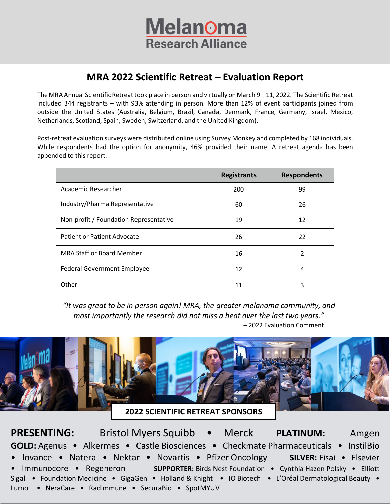

# **MRA 2022 Scientific Retreat – Evaluation Report**

The MRA Annual Scientific Retreat took place in person and virtually on March  $9-11$ , 2022. The Scientific Retreat included 344 registrants – with 93% attending in person. More than 12% of event participants joined from outside the United States (Australia, Belgium, Brazil, Canada, Denmark, France, Germany, Israel, Mexico, Netherlands, Scotland, Spain, Sweden, Switzerland, and the United Kingdom).

Post-retreat evaluation surveys were distributed online using Survey Monkey and completed by 168 individuals. While respondents had the option for anonymity, 46% provided their name. A retreat agenda has been appended to this report.

|                                        | <b>Registrants</b> | <b>Respondents</b> |  |
|----------------------------------------|--------------------|--------------------|--|
| Academic Researcher                    | 200                | 99                 |  |
| Industry/Pharma Representative         | 60                 | 26                 |  |
| Non-profit / Foundation Representative | 19                 | 12                 |  |
| Patient or Patient Advocate            | 26                 | 22                 |  |
| <b>MRA Staff or Board Member</b>       | 16                 | 2                  |  |
| Federal Government Employee            | 12                 | 4                  |  |
| Other                                  | 11                 | 3                  |  |

*"It was great to be in person again! MRA, the greater melanoma community, and most importantly the research did not miss a beat over the last two years."* – 2022 Evaluation Comment



Sigal • Foundation Medicine • GigaGen • Holland & Knight • IO Biotech • L'Oréal Dermatological Beauty • • Immunocore • Regeneron **SUPPORTER:** Birds Nest Foundation • Cynthia Hazen Polsky • Elliott Lumo • NeraCare • Radimmune • SecuraBio • SpotMYUV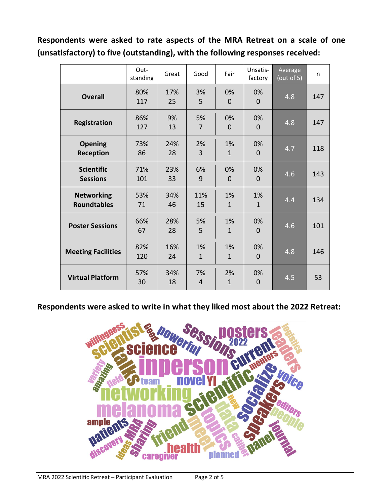**Respondents were asked to rate aspects of the MRA Retreat on a scale of one (unsatisfactory) to five (outstanding), with the following responses received:**

|                                         | Out-<br>standing | Great     | Good               | Fair               | Unsatis-<br>factory | Average<br>$\overline{\text{(out of 5)}}$ | n.  |
|-----------------------------------------|------------------|-----------|--------------------|--------------------|---------------------|-------------------------------------------|-----|
| <b>Overall</b>                          | 80%<br>117       | 17%<br>25 | 3%<br>5            | 0%<br>$\Omega$     | 0%<br>$\Omega$      | 4.8                                       | 147 |
| <b>Registration</b>                     | 86%<br>127       | 9%<br>13  | 5%<br>7            | 0%<br>$\Omega$     | 0%<br>$\Omega$      | 4.8                                       | 147 |
| <b>Opening</b><br>Reception             | 73%<br>86        | 24%<br>28 | 2%<br>3            | 1%<br>$\mathbf{1}$ | 0%<br>$\Omega$      | 4.7                                       | 118 |
| <b>Scientific</b><br><b>Sessions</b>    | 71%<br>101       | 23%<br>33 | 6%<br>9            | 0%<br>$\Omega$     | 0%<br>$\Omega$      | 4.6                                       | 143 |
| <b>Networking</b><br><b>Roundtables</b> | 53%<br>71        | 34%<br>46 | 11%<br>15          | 1%<br>$\mathbf{1}$ | 1%<br>$\mathbf{1}$  | 4.4                                       | 134 |
| <b>Poster Sessions</b>                  | 66%<br>67        | 28%<br>28 | 5%<br>5            | 1%<br>$\mathbf{1}$ | 0%<br>$\Omega$      | 4.6                                       | 101 |
| <b>Meeting Facilities</b>               | 82%<br>120       | 16%<br>24 | 1%<br>$\mathbf{1}$ | 1%<br>$\mathbf{1}$ | 0%<br>0             | 4.8                                       | 146 |
| <b>Virtual Platform</b>                 | 57%<br>30        | 34%<br>18 | 7%<br>4            | 2%<br>$\mathbf{1}$ | 0%<br>$\Omega$      | 4.5                                       | 53  |

**Respondents were asked to write in what they liked most about the 2022 Retreat:**

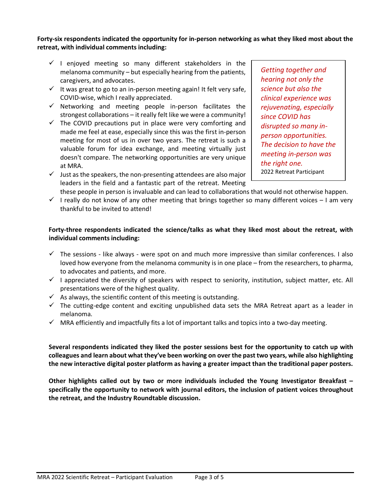#### **Forty-six respondents indicated the opportunity for in-person networking as what they liked most about the retreat, with individual comments including:**

- $\checkmark$  I enjoyed meeting so many different stakeholders in the melanoma community – but especially hearing from the patients, caregivers, and advocates.
- $\checkmark$  It was great to go to an in-person meeting again! It felt very safe, COVID-wise, which I really appreciated.
- $\checkmark$  Networking and meeting people in-person facilitates the strongest collaborations – it really felt like we were a community!
- $\checkmark$  The COVID precautions put in place were very comforting and made me feel at ease, especially since this was the first in-person meeting for most of us in over two years. The retreat is such a valuable forum for idea exchange, and meeting virtually just doesn't compare. The networking opportunities are very unique at MRA.
- $\checkmark$  Just as the speakers, the non-presenting attendees are also major leaders in the field and a fantastic part of the retreat. Meeting

*Getting together and hearing not only the science but also the clinical experience was rejuvenating, especially since COVID has disrupted so many inperson opportunities. The decision to have the meeting in-person was the right one.* 2022 Retreat Participant

- these people in person is invaluable and can lead to collaborations that would not otherwise happen.
- $\checkmark$  I really do not know of any other meeting that brings together so many different voices I am very thankful to be invited to attend!

### **Forty-three respondents indicated the science/talks as what they liked most about the retreat, with individual comments including:**

- $\checkmark$  The sessions like always were spot on and much more impressive than similar conferences. I also loved how everyone from the melanoma community is in one place – from the researchers, to pharma, to advocates and patients, and more.
- $\checkmark$  I appreciated the diversity of speakers with respect to seniority, institution, subject matter, etc. All presentations were of the highest quality.
- $\checkmark$  As always, the scientific content of this meeting is outstanding.
- $\checkmark$  The cutting-edge content and exciting unpublished data sets the MRA Retreat apart as a leader in melanoma.
- $\checkmark$  MRA efficiently and impactfully fits a lot of important talks and topics into a two-day meeting.

**Several respondents indicated they liked the poster sessions best for the opportunity to catch up with colleagues and learn about what they've been working on over the past two years, while also highlighting the new interactive digital poster platform as having a greater impact than the traditional paper posters.** 

**Other highlights called out by two or more individuals included the Young Investigator Breakfast – specifically the opportunity to network with journal editors, the inclusion of patient voices throughout the retreat, and the Industry Roundtable discussion.**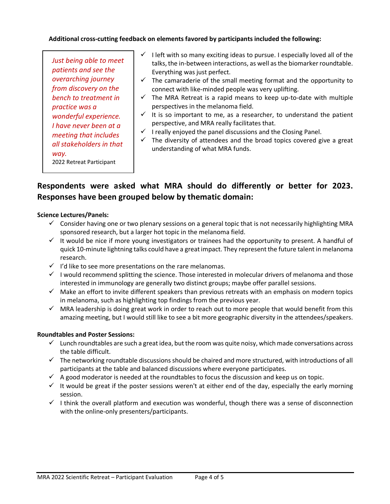**Additional cross-cutting feedback on elements favored by participants included the following:**

*Just being able to meet patients and see the overarching journey from discovery on the bench to treatment in practice was a wonderful experience. I have never been at a meeting that includes all stakeholders in that way.* 2022 Retreat Participant

- $\checkmark$  I left with so many exciting ideas to pursue. I especially loved all of the talks, the in-between interactions, as well as the biomarker roundtable. Everything was just perfect.
- $\checkmark$  The camaraderie of the small meeting format and the opportunity to connect with like-minded people was very uplifting.
- $\checkmark$  The MRA Retreat is a rapid means to keep up-to-date with multiple perspectives in the melanoma field.
- $\checkmark$  It is so important to me, as a researcher, to understand the patient perspective, and MRA really facilitates that.
- $\checkmark$  I really enjoyed the panel discussions and the Closing Panel.
- $\checkmark$  The diversity of attendees and the broad topics covered give a great understanding of what MRA funds.

## **Respondents were asked what MRA should do differently or better for 2023. Responses have been grouped below by thematic domain:**

#### **Science Lectures/Panels:**

- $\checkmark$  Consider having one or two plenary sessions on a general topic that is not necessarily highlighting MRA sponsored research, but a larger hot topic in the melanoma field.
- $\checkmark$  It would be nice if more young investigators or trainees had the opportunity to present. A handful of quick 10-minute lightning talks could have a greatimpact. They representthe future talent in melanoma research.
- $\checkmark$  I'd like to see more presentations on the rare melanomas.
- $\checkmark$  I would recommend splitting the science. Those interested in molecular drivers of melanoma and those interested in immunology are generally two distinct groups; maybe offer parallel sessions.
- $\checkmark$  Make an effort to invite different speakers than previous retreats with an emphasis on modern topics in melanoma, such as highlighting top findings from the previous year.
- $\checkmark$  MRA leadership is doing great work in order to reach out to more people that would benefit from this amazing meeting, but I would still like to see a bit more geographic diversity in the attendees/speakers.

#### **Roundtables and Poster Sessions:**

- $\checkmark$  Lunch roundtables are such a great idea, but the room was quite noisy, which made conversations across the table difficult.
- $\checkmark$  The networking roundtable discussions should be chaired and more structured, with introductions of all participants at the table and balanced discussions where everyone participates.
- $\checkmark$  A good moderator is needed at the roundtables to focus the discussion and keep us on topic.
- $\checkmark$  It would be great if the poster sessions weren't at either end of the day, especially the early morning session.
- $\checkmark$  I think the overall platform and execution was wonderful, though there was a sense of disconnection with the online-only presenters/participants.